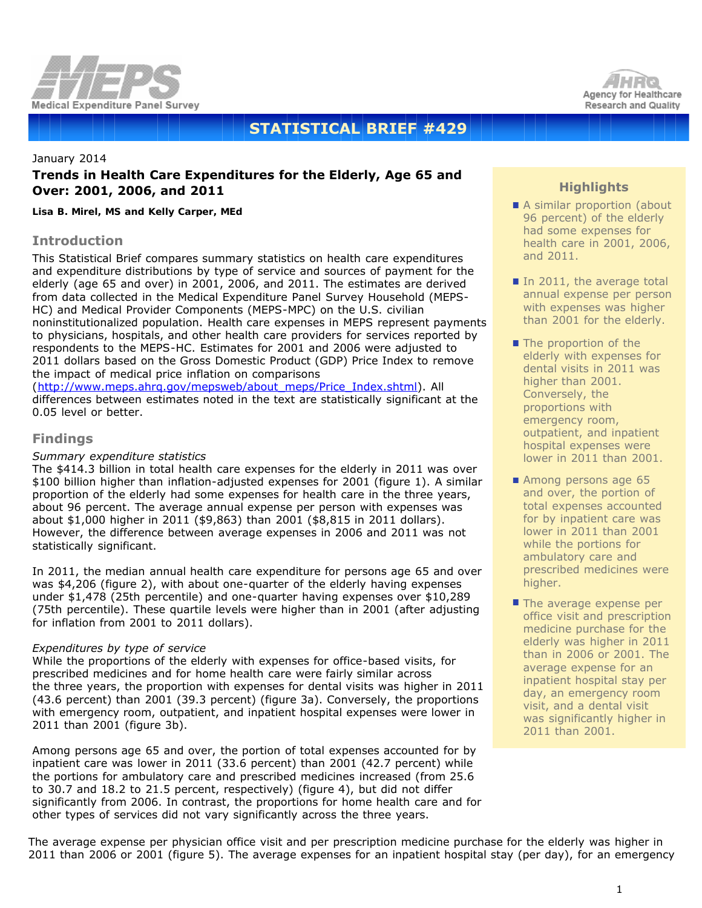



# **STATISTICAL BRIEF #429**

# January 2014 **Trends in Health Care Expenditures for the Elderly, Age 65 and Over: 2001, 2006, and 2011**

*Lisa B. Mirel, MS and Kelly Carper, MEd*

## **Introduction**

This Statistical Brief compares summary statistics on health care expenditures and expenditure distributions by type of service and sources of payment for the elderly (age 65 and over) in 2001, 2006, and 2011. The estimates are derived from data collected in the Medical Expenditure Panel Survey Household (MEPS-HC) and Medical Provider Components (MEPS-MPC) on the U.S. civilian noninstitutionalized population. Health care expenses in MEPS represent payments to physicians, hospitals, and other health care providers for services reported by respondents to the MEPS-HC. Estimates for 2001 and 2006 were adjusted to 2011 dollars based on the Gross Domestic Product (GDP) Price Index to remove the impact of medical price inflation on comparisons

([http://www.meps.ahrq.gov/mepsweb/about\\_meps/Price\\_Index.shtml](http://www.meps.ahrq.gov/mepsweb/about_meps/Price_Index.shtml)). All differences between estimates noted in the text are statistically significant at the 0.05 level or better.

# **Findings**

#### *Summary expenditure statistics*

The \$414.3 billion in total health care expenses for the elderly in 2011 was over \$100 billion higher than inflation-adjusted expenses for 2001 (figure 1). A similar proportion of the elderly had some expenses for health care in the three years, about 96 percent. The average annual expense per person with expenses was about \$1,000 higher in 2011 (\$9,863) than 2001 (\$8,815 in 2011 dollars). However, the difference between average expenses in 2006 and 2011 was not statistically significant.

In 2011, the median annual health care expenditure for persons age 65 and over was \$4,206 (figure 2), with about one-quarter of the elderly having expenses under \$1,478 (25th percentile) and one-quarter having expenses over \$10,289 (75th percentile). These quartile levels were higher than in 2001 (after adjusting for inflation from 2001 to 2011 dollars).

#### *Expenditures by type of service*

While the proportions of the elderly with expenses for office-based visits, for prescribed medicines and for home health care were fairly similar across the three years, the proportion with expenses for dental visits was higher in 2011 (43.6 percent) than 2001 (39.3 percent) (figure 3a). Conversely, the proportions with emergency room, outpatient, and inpatient hospital expenses were lower in 2011 than 2001 (figure 3b).

Among persons age 65 and over, the portion of total expenses accounted for by inpatient care was lower in 2011 (33.6 percent) than 2001 (42.7 percent) while the portions for ambulatory care and prescribed medicines increased (from 25.6 to 30.7 and 18.2 to 21.5 percent, respectively) (figure 4), but did not differ significantly from 2006. In contrast, the proportions for home health care and for other types of services did not vary significantly across the three years.

# **Highlights**

- A similar proportion (about 96 percent) of the elderly had some expenses for health care in 2001, 2006, and 2011.
- In 2011, the average total annual expense per person with expenses was higher than 2001 for the elderly.
- The proportion of the elderly with expenses for dental visits in 2011 was higher than 2001. Conversely, the proportions with emergency room, outpatient, and inpatient hospital expenses were lower in 2011 than 2001.
- Among persons age 65 and over, the portion of total expenses accounted for by inpatient care was lower in 2011 than 2001 while the portions for ambulatory care and prescribed medicines were higher.
- $\blacksquare$  The average expense per office visit and prescription medicine purchase for the elderly was higher in 2011 than in 2006 or 2001. The average expense for an inpatient hospital stay per day, an emergency room visit, and a dental visit was significantly higher in 2011 than 2001.

The average expense per physician office visit and per prescription medicine purchase for the elderly was higher in 2011 than 2006 or 2001 (figure 5). The average expenses for an inpatient hospital stay (per day), for an emergency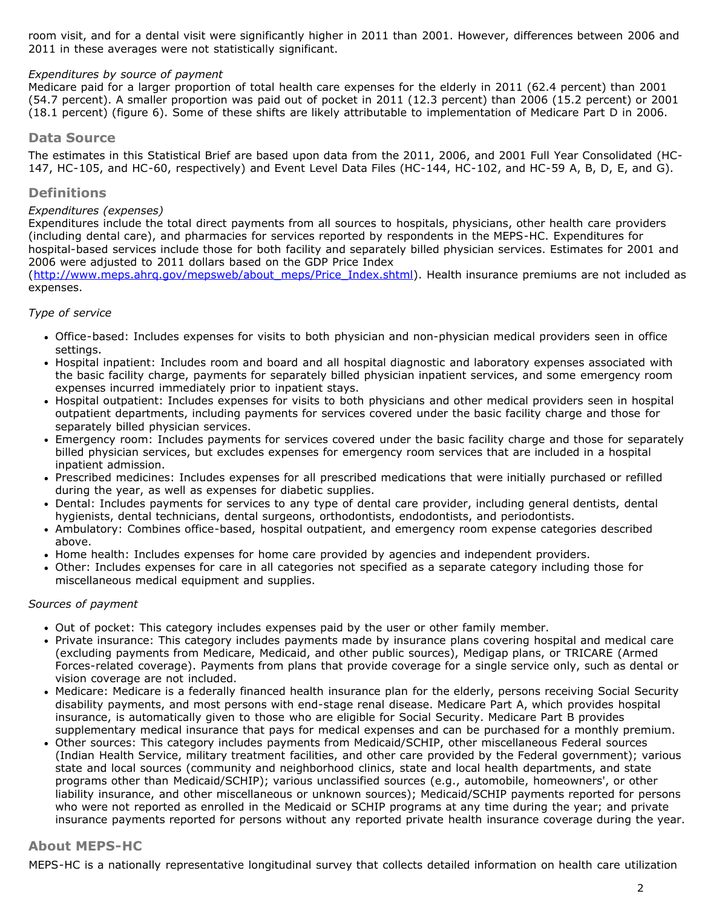room visit, and for a dental visit were significantly higher in 2011 than 2001. However, differences between 2006 and 2011 in these averages were not statistically significant.

#### *Expenditures by source of payment*

Medicare paid for a larger proportion of total health care expenses for the elderly in 2011 (62.4 percent) than 2001 (54.7 percent). A smaller proportion was paid out of pocket in 2011 (12.3 percent) than 2006 (15.2 percent) or 2001 (18.1 percent) (figure 6). Some of these shifts are likely attributable to implementation of Medicare Part D in 2006.

## **Data Source**

The estimates in this Statistical Brief are based upon data from the 2011, 2006, and 2001 Full Year Consolidated (HC-147, HC-105, and HC-60, respectively) and Event Level Data Files (HC-144, HC-102, and HC-59 A, B, D, E, and G).

#### **Definitions**

## *Expenditures (expenses)*

Expenditures include the total direct payments from all sources to hospitals, physicians, other health care providers (including dental care), and pharmacies for services reported by respondents in the MEPS-HC. Expenditures for hospital-based services include those for both facility and separately billed physician services. Estimates for 2001 and 2006 were adjusted to 2011 dollars based on the GDP Price Index

([http://www.meps.ahrq.gov/mepsweb/about\\_meps/Price\\_Index.shtml](http://www.meps.ahrq.gov/mepsweb/about_meps/Price_Index.shtml)). Health insurance premiums are not included as expenses.

#### *Type of service*

- Office-based: Includes expenses for visits to both physician and non-physician medical providers seen in office settings.
- Hospital inpatient: Includes room and board and all hospital diagnostic and laboratory expenses associated with the basic facility charge, payments for separately billed physician inpatient services, and some emergency room expenses incurred immediately prior to inpatient stays.
- Hospital outpatient: Includes expenses for visits to both physicians and other medical providers seen in hospital outpatient departments, including payments for services covered under the basic facility charge and those for separately billed physician services.
- Emergency room: Includes payments for services covered under the basic facility charge and those for separately billed physician services, but excludes expenses for emergency room services that are included in a hospital inpatient admission.
- Prescribed medicines: Includes expenses for all prescribed medications that were initially purchased or refilled during the year, as well as expenses for diabetic supplies.
- Dental: Includes payments for services to any type of dental care provider, including general dentists, dental hygienists, dental technicians, dental surgeons, orthodontists, endodontists, and periodontists.
- Ambulatory: Combines office-based, hospital outpatient, and emergency room expense categories described above.
- Home health: Includes expenses for home care provided by agencies and independent providers.
- Other: Includes expenses for care in all categories not specified as a separate category including those for miscellaneous medical equipment and supplies.

#### *Sources of payment*

- Out of pocket: This category includes expenses paid by the user or other family member.
- Private insurance: This category includes payments made by insurance plans covering hospital and medical care (excluding payments from Medicare, Medicaid, and other public sources), Medigap plans, or TRICARE (Armed Forces-related coverage). Payments from plans that provide coverage for a single service only, such as dental or vision coverage are not included.
- Medicare: Medicare is a federally financed health insurance plan for the elderly, persons receiving Social Security disability payments, and most persons with end-stage renal disease. Medicare Part A, which provides hospital insurance, is automatically given to those who are eligible for Social Security. Medicare Part B provides supplementary medical insurance that pays for medical expenses and can be purchased for a monthly premium.
- Other sources: This category includes payments from Medicaid/SCHIP, other miscellaneous Federal sources (Indian Health Service, military treatment facilities, and other care provided by the Federal government); various state and local sources (community and neighborhood clinics, state and local health departments, and state programs other than Medicaid/SCHIP); various unclassified sources (e.g., automobile, homeowners', or other liability insurance, and other miscellaneous or unknown sources); Medicaid/SCHIP payments reported for persons who were not reported as enrolled in the Medicaid or SCHIP programs at any time during the year; and private insurance payments reported for persons without any reported private health insurance coverage during the year.

## **About MEPS-HC**

MEPS-HC is a nationally representative longitudinal survey that collects detailed information on health care utilization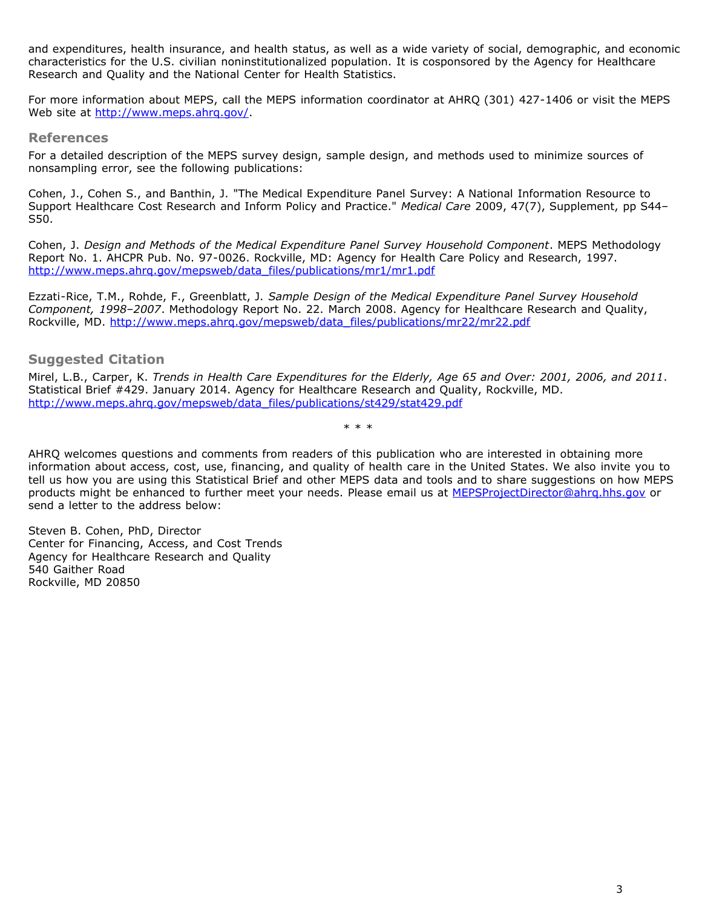and expenditures, health insurance, and health status, as well as a wide variety of social, demographic, and economic characteristics for the U.S. civilian noninstitutionalized population. It is cosponsored by the Agency for Healthcare Research and Quality and the National Center for Health Statistics.

For more information about MEPS, call the MEPS information coordinator at AHRQ (301) 427-1406 or visit the MEPS Web site at <http://www.meps.ahrq.gov/>.

#### **References**

For a detailed description of the MEPS survey design, sample design, and methods used to minimize sources of nonsampling error, see the following publications:

Cohen, J., Cohen S., and Banthin, J. "The Medical Expenditure Panel Survey: A National Information Resource to Support Healthcare Cost Research and Inform Policy and Practice." *Medical Care* 2009, 47(7), Supplement, pp S44– S50.

Cohen, J. *Design and Methods of the Medical Expenditure Panel Survey Household Component*. MEPS Methodology Report No. 1. AHCPR Pub. No. 97-0026. Rockville, MD: Agency for Health Care Policy and Research, 1997. [http://www.meps.ahrq.gov/mepsweb/data\\_files/publications/mr1/mr1.pdf](http://www.meps.ahrq.gov/mepsweb/data_files/publications/mr1/mr1.pdf)

Ezzati-Rice, T.M., Rohde, F., Greenblatt, J. *Sample Design of the Medical Expenditure Panel Survey Household Component, 1998–2007*. Methodology Report No. 22. March 2008. Agency for Healthcare Research and Quality, Rockville, MD. [http://www.meps.ahrq.gov/mepsweb/data\\_files/publications/mr22/mr22.pdf](http://www.meps.ahrq.gov/mepsweb/data_files/publications/mr22/mr22.pdf)

## **Suggested Citation**

Mirel, L.B., Carper, K. *Trends in Health Care Expenditures for the Elderly, Age 65 and Over: 2001, 2006, and 2011*. Statistical Brief #429. January 2014. Agency for Healthcare Research and Quality, Rockville, MD. [http://www.meps.ahrq.gov/mepsweb/data\\_files/publications/st429/stat429.pdf](http://www.meps.ahrq.gov/mepsweb/data_files/publications/st429/stat429.pdf)

\* \* \*

AHRQ welcomes questions and comments from readers of this publication who are interested in obtaining more information about access, cost, use, financing, and quality of health care in the United States. We also invite you to tell us how you are using this Statistical Brief and other MEPS data and tools and to share suggestions on how MEPS products might be enhanced to further meet your needs. Please email us at [MEPSProjectDirector@ahrq.hhs.gov](mailto:MEPSProjectDirector@ahrq.hhs.gov) or send a letter to the address below:

Steven B. Cohen, PhD, Director Center for Financing, Access, and Cost Trends Agency for Healthcare Research and Quality 540 Gaither Road Rockville, MD 20850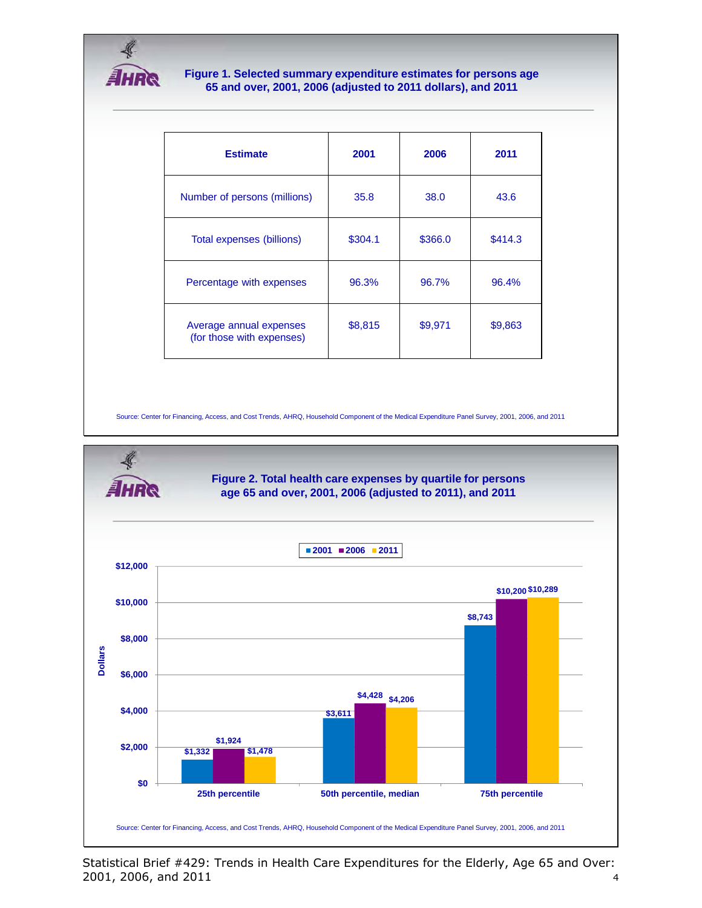

#### **Figure 1. Selected summary expenditure estimates for persons age 65 and over, 2001, 2006 (adjusted to 2011 dollars), and 2011**

| <b>Estimate</b>                                      | 2001    | 2006    | 2011    |
|------------------------------------------------------|---------|---------|---------|
| Number of persons (millions)                         | 35.8    | 38.0    | 43.6    |
| Total expenses (billions)                            | \$304.1 | \$366.0 | \$414.3 |
| Percentage with expenses                             | 96.3%   | 96.7%   | 96.4%   |
| Average annual expenses<br>(for those with expenses) | \$8,815 | \$9,971 | \$9,863 |

Source: Center for Financing, Access, and Cost Trends, AHRQ, Household Component of the Medical Expenditure Panel Survey, 2001, 2006, and 2011



Statistical Brief #429: Trends in Health Care Expenditures for the Elderly, Age 65 and Over: 2001, 2006, and 2011 4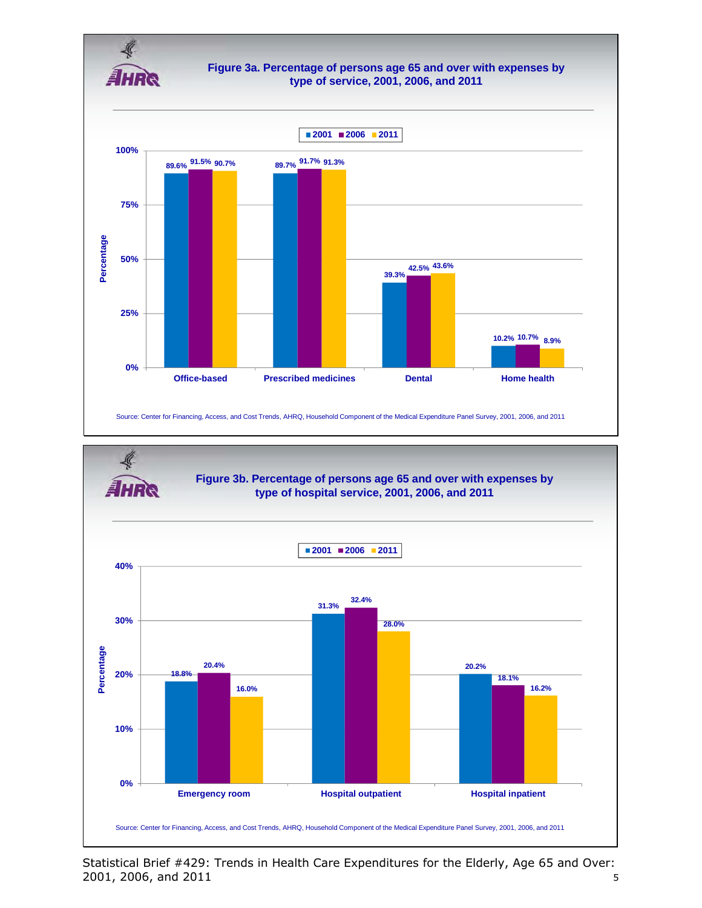



Statistical Brief #429: Trends in Health Care Expenditures for the Elderly, Age 65 and Over: 2001, 2006, and 2011 5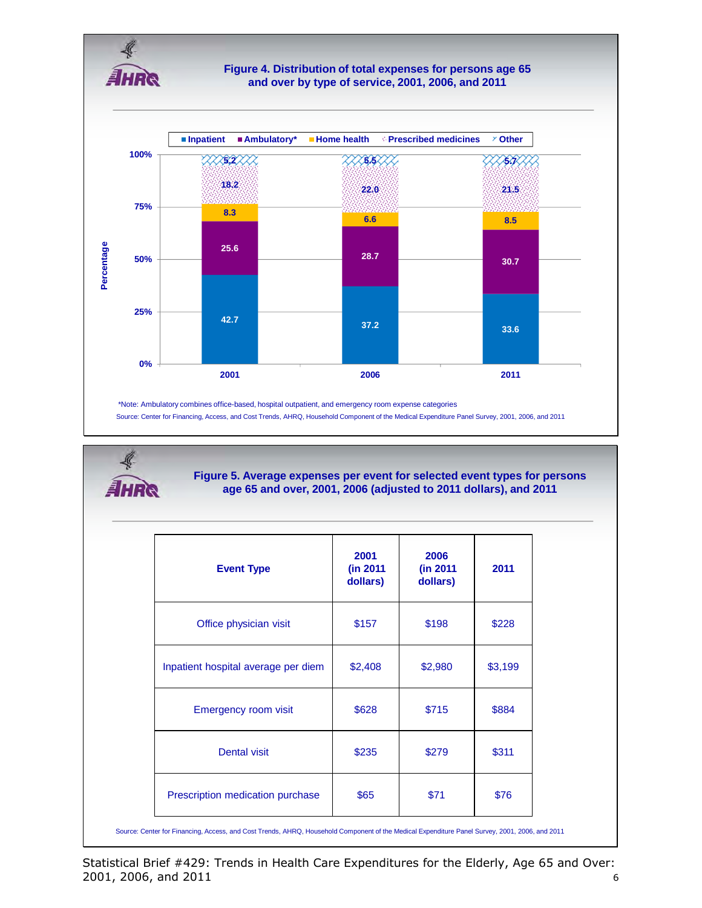

Source: Center for Financing, Access, and Cost Trends, AHRQ, Household Component of the Medical Expenditure Panel Survey, 2001, 2006, and 2011 \*Note: Ambulatory combines office-based, hospital outpatient, and emergency room expense categories

₹ AHRQ

**Figure 5. Average expenses per event for selected event types for persons age 65 and over, 2001, 2006 (adjusted to 2011 dollars), and 2011**

| <b>Event Type</b>                   | 2001<br>(in 2011)<br>dollars) | 2006<br>(in 2011)<br>dollars) | 2011    |
|-------------------------------------|-------------------------------|-------------------------------|---------|
| Office physician visit              | \$157                         | \$198                         | \$228   |
| Inpatient hospital average per diem | \$2,408                       | \$2,980                       | \$3,199 |
| Emergency room visit                | \$628                         | \$715                         | \$884   |
| <b>Dental visit</b>                 | \$235                         | \$279                         | \$311   |
| Prescription medication purchase    | \$65                          | \$71                          | \$76    |

Source: Center for Financing, Access, and Cost Trends, AHRQ, Household Component of the Medical Expenditure Panel Survey, 2001, 2006, and 2011

Statistical Brief #429: Trends in Health Care Expenditures for the Elderly, Age 65 and Over: 2001, 2006, and 2011 6